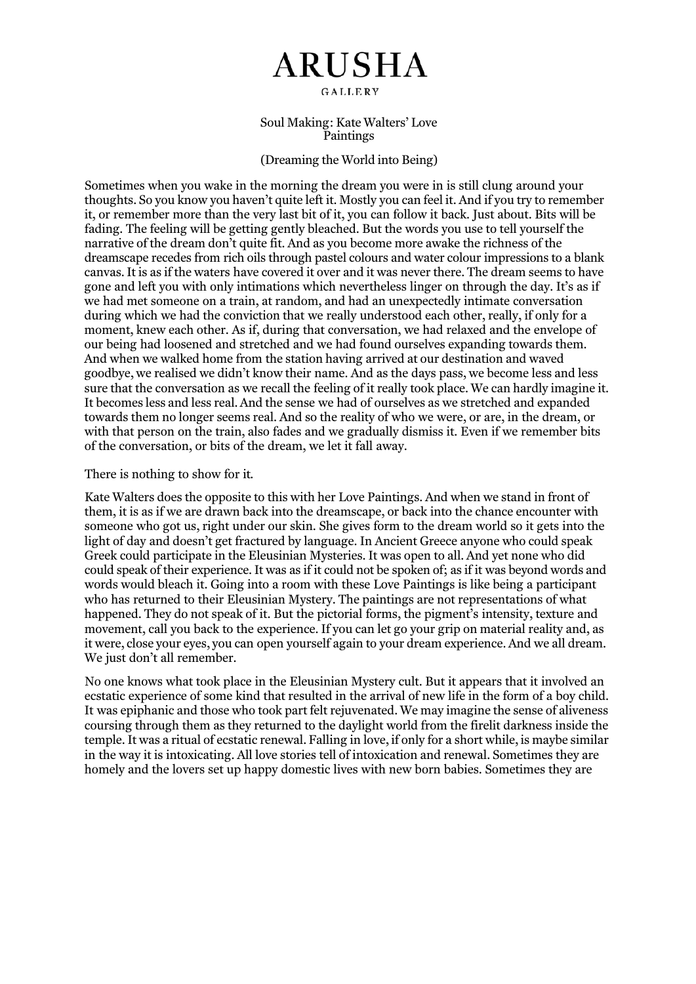## **ARUSHA**

GALLERY

Soul Making: Kate Walters' Love Paintings

## (Dreaming the World into Being)

Sometimes when you wake in the morning the dream you were in is still clung around your thoughts. So you know you haven't quite left it. Mostly you can feel it. And if you try to remember it, or remember more than the very last bit of it, you can follow it back. Just about. Bits will be fading. The feeling will be getting gently bleached. But the words you use to tell yourself the narrative of the dream don't quite fit. And as you become more awake the richness of the dreamscape recedes from rich oils through pastel colours and water colour impressions to a blank canvas. It is as if the waters have covered it over and it was never there. The dream seems to have gone and left you with only intimations which nevertheless linger on through the day. It's as if we had met someone on a train, at random, and had an unexpectedly intimate conversation during which we had the conviction that we really understood each other, really, if only for a moment, knew each other. As if, during that conversation, we had relaxed and the envelope of our being had loosened and stretched and we had found ourselves expanding towards them. And when we walked home from the station having arrived at our destination and waved goodbye, we realised we didn't know their name. And as the days pass, we become less and less sure that the conversation as we recall the feeling of it really took place. We can hardly imagine it. It becomes less and less real. And the sense we had of ourselves as we stretched and expanded towards them no longer seems real. And so the reality of who we were, or are, in the dream, or with that person on the train, also fades and we gradually dismiss it. Even if we remember bits of the conversation, or bits of the dream, we let it fall away.

## There is nothing to show for it.

Kate Walters does the opposite to this with her Love Paintings. And when we stand in front of them, it is as if we are drawn back into the dreamscape, or back into the chance encounter with someone who got us, right under our skin. She gives form to the dream world so it gets into the light of day and doesn't get fractured by language. In Ancient Greece anyone who could speak Greek could participate in the Eleusinian Mysteries. It was open to all. And yet none who did could speak of their experience. It was as if it could not be spoken of; as if it was beyond words and words would bleach it. Going into a room with these Love Paintings is like being a participant who has returned to their Eleusinian Mystery. The paintings are not representations of what happened. They do not speak of it. But the pictorial forms, the pigment's intensity, texture and movement, call you back to the experience. If you can let go your grip on material reality and, as it were, close your eyes, you can open yourself again to your dream experience. And we all dream. We just don't all remember.

No one knows what took place in the Eleusinian Mystery cult. But it appears that it involved an ecstatic experience of some kind that resulted in the arrival of new life in the form of a boy child. It was epiphanic and those who took part felt rejuvenated. We may imagine the sense of aliveness coursing through them as they returned to the daylight world from the firelit darkness inside the temple. It was a ritual of ecstatic renewal. Falling in love, if only for a short while, is maybe similar in the way it is intoxicating. All love stories tell of intoxication and renewal. Sometimes they are homely and the lovers set up happy domestic lives with new born babies. Sometimes they are